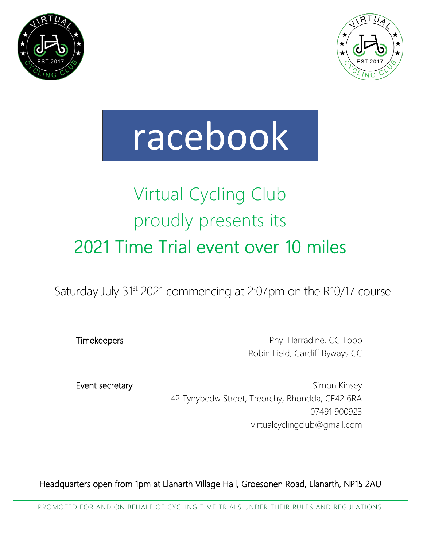



# racebook

# Virtual Cycling Club proudly presents its 2021 Time Trial event over 10 miles

Saturday July 31st 2021 commencing at 2:07pm on the R10/17 course

Timekeepers **Phyl Harradine, CC Topp** Robin Field, Cardiff Byways CC

Event secretary **Simon Kinsey** Simon Kinsey 42 Tynybedw Street, Treorchy, Rhondda, CF42 6RA 07491 900923 virtualcyclingclub@gmail.com

Headquarters open from 1pm at Llanarth Village Hall, Groesonen Road, Llanarth, NP15 2AU

PROMOTED FOR AND ON BEHALF OF CYCLING TIME TRIALS UNDER THEIR RULES AND REGULATIONS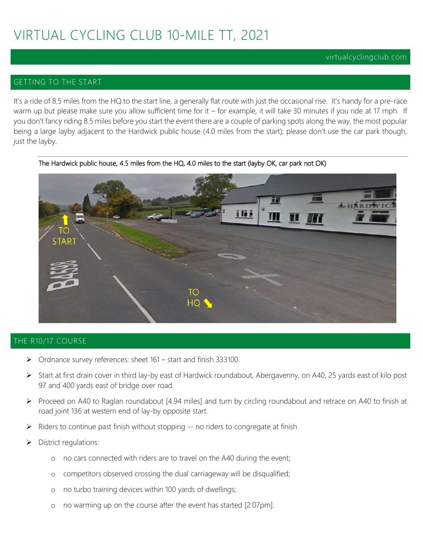#### virtualcyclingclub.com

#### GETTING TO THE START

It's a ride of 8.5 miles from the HQ to the start line, a generally flat route with just the occasional rise. It's handy for a pre-race warm up but please make sure you allow sufficient time for it – for example, it will take 30 minutes if you ride at 17 mph. If you don't fancy riding 8.5 miles before you start the event there are a couple of parking spots along the way, the most popular being a large layby adjacent to the Hardwick public house (4.0 miles from the start); please don't use the car park though, just the layby.



The Hardwick public house, 4.5 miles from the HQ, 4.0 miles to the start (layby OK, car park not OK)

#### THE R10/17 COURSE

- ➢ Ordnance survey references: sheet 161 start and finish 333100.
- ➢ Start at first drain cover in third lay-by east of Hardwick roundabout, Abergavenny, on A40, 25 yards east of kilo post 97 and 400 yards east of bridge over road.
- ➢ Proceed on A40 to Raglan roundabout [4.94 miles] and turn by circling roundabout and retrace on A40 to finish at road joint 136 at western end of lay-by opposite start.
- ➢ Riders to continue past finish without stopping -- no riders to congregate at finish
- ➢ District regulations:
	- o no cars connected with riders are to travel on the A40 during the event;
	- o competitors observed crossing the dual carriageway will be disqualified;
	- o no turbo training devices within 100 yards of dwellings;
	- o no warming up on the course after the event has started [2:07pm].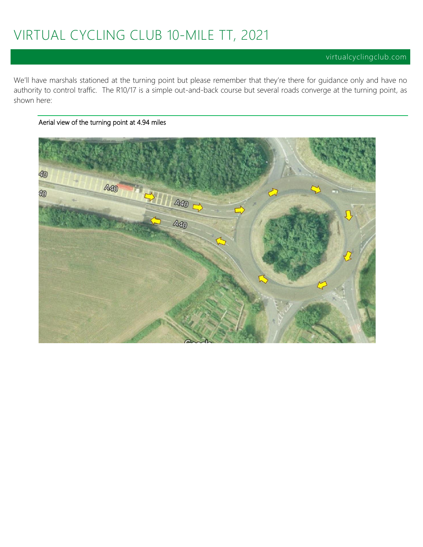We'll have marshals stationed at the turning point but please remember that they're there for guidance only and have no authority to control traffic. The R10/17 is a simple out-and-back course but several roads converge at the turning point, as shown here:

40  $A40$  $\frac{1}{\sqrt{2}}$ 40 **A40** 

#### Aerial view of the turning point at 4.94 miles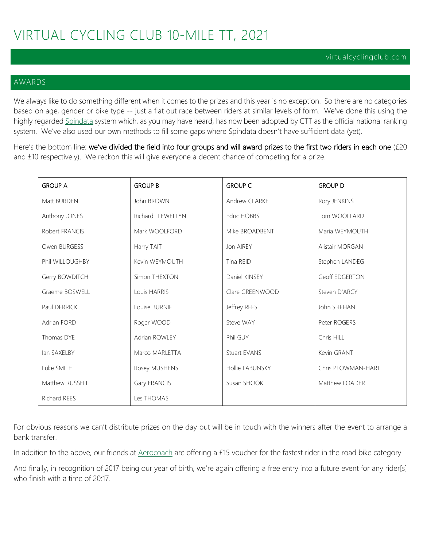#### AWARDS

We always like to do something different when it comes to the prizes and this year is no exception. So there are no categories based on age, gender or bike type -- just a flat out race between riders at similar levels of form. We've done this using the highly regarded [Spindata](https://www.spindata.co.uk/) system which, as you may have heard, has now been adopted by CTT as the official national ranking system. We've also used our own methods to fill some gaps where Spindata doesn't have sufficient data (yet).

Here's the bottom line: we've divided the field into four groups and will award prizes to the first two riders in each one (£20 and £10 respectively). We reckon this will give everyone a decent chance of competing for a prize.

| <b>GROUP A</b>  | <b>GROUP B</b>    | <b>GROUP C</b>  | <b>GROUP D</b>     |
|-----------------|-------------------|-----------------|--------------------|
| Matt BURDEN     | John BROWN        | Andrew CLARKE   | Rory JENKINS       |
| Anthony JONES   | Richard LLEWELLYN | Edric HOBBS     | Tom WOOLLARD       |
| Robert FRANCIS  | Mark WOOLFORD     | Mike BROADBENT  | Maria WEYMOUTH     |
| Owen BURGESS    | Harry TAIT        | Jon AIREY       | Alistair MORGAN    |
| Phil WILLOUGHBY | Kevin WEYMOUTH    | Tina REID       | Stephen LANDEG     |
| Gerry BOWDITCH  | Simon THEXTON     | Daniel KINSEY   | Geoff EDGERTON     |
| Graeme BOSWELL  | Louis HARRIS      | Clare GREENWOOD | Steven D'ARCY      |
| Paul DERRICK    | Louise BURNIE     | Jeffrey REES    | John SHEHAN        |
| Adrian FORD     | Roger WOOD        | Steve WAY       | Peter ROGERS       |
| Thomas DYE      | Adrian ROWLEY     | Phil GUY        | Chris HILL         |
| lan SAXELBY     | Marco MARLETTA    | Stuart EVANS    | Kevin GRANT        |
| Luke SMITH      | Rosey MUSHENS     | Hollie LABUNSKY | Chris PLOWMAN-HART |
| Matthew RUSSELL | Gary FRANCIS      | Susan SHOOK     | Matthew LOADER     |
| Richard REES    | Les THOMAS        |                 |                    |

For obvious reasons we can't distribute prizes on the day but will be in touch with the winners after the event to arrange a bank transfer.

In addition to the above, our friends at [Aerocoach](https://www.aero-coach.co.uk/) are offering a £15 voucher for the fastest rider in the road bike category.

And finally, in recognition of 2017 being our year of birth, we're again offering a free entry into a future event for any rider[s] who finish with a time of 20:17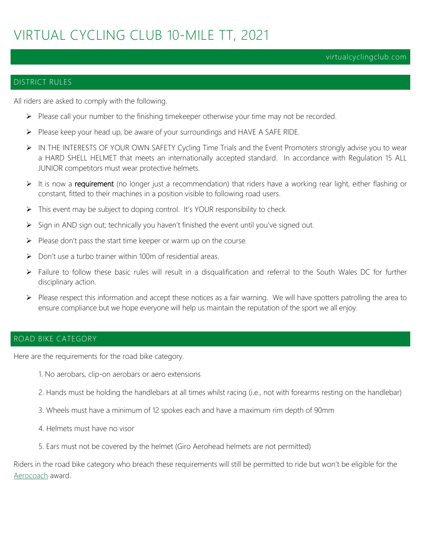#### virtualcyclingclub.com

#### DISTRICT RULES

All riders are asked to comply with the following.

- ➢ Please call your number to the finishing timekeeper otherwise your time may not be recorded.
- ➢ Please keep your head up, be aware of your surroundings and HAVE A SAFE RIDE.
- ➢ IN THE INTERESTS OF YOUR OWN SAFETY Cycling Time Trials and the Event Promoters strongly advise you to wear a HARD SHELL HELMET that meets an internationally accepted standard. In accordance with Regulation 15 ALL JUNIOR competitors must wear protective helmets.
- $\triangleright$  It is now a requirement (no longer just a recommendation) that riders have a working rear light, either flashing or constant, fitted to their machines in a position visible to following road users.
- ➢ This event may be subject to doping control. It's YOUR responsibility to check.
- ➢ Sign in AND sign out; technically you haven't finished the event until you've signed out.
- ➢ Please don't pass the start time keeper or warm up on the course.
- ➢ Don't use a turbo trainer within 100m of residential areas.
- ➢ Failure to follow these basic rules will result in a disqualification and referral to the South Wales DC for further disciplinary action.
- ➢ Please respect this information and accept these notices as a fair warning. We will have spotters patrolling the area to ensure compliance but we hope everyone will help us maintain the reputation of the sport we all enjoy.

#### ROAD BIKE CATEGORY

Here are the requirements for the road bike category.

- 1. No aerobars, clip-on aerobars or aero extensions
- 2. Hands must be holding the handlebars at all times whilst racing (i.e., not with forearms resting on the handlebar)
- 3. Wheels must have a minimum of 12 spokes each and have a maximum rim depth of 90mm
- 4. Helmets must have no visor
- 5. Ears must not be covered by the helmet (Giro Aerohead helmets are not permitted)

Riders in the road bike category who breach these requirements will still be permitted to ride but won't be eligible for the [Aerocoach](https://www.aero-coach.co.uk/events) award.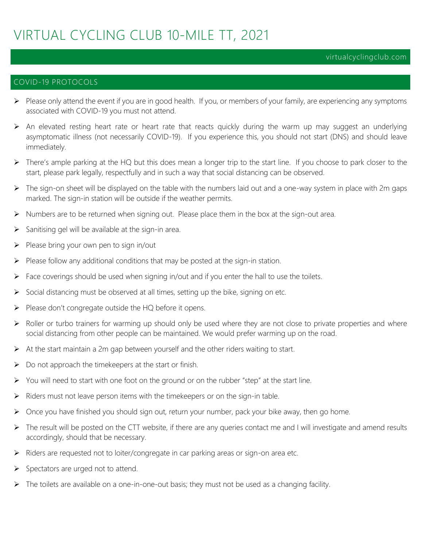#### virtualcyclingclub.com

#### COVID-19 PROTOCOLS

- ➢ Please only attend the event if you are in good health. If you, or members of your family, are experiencing any symptoms associated with COVID-19 you must not attend.
- ➢ An elevated resting heart rate or heart rate that reacts quickly during the warm up may suggest an underlying asymptomatic illness (not necessarily COVID-19). If you experience this, you should not start (DNS) and should leave immediately.
- $\triangleright$  There's ample parking at the HQ but this does mean a longer trip to the start line. If you choose to park closer to the start, please park legally, respectfully and in such a way that social distancing can be observed.
- ➢ The sign-on sheet will be displayed on the table with the numbers laid out and a one-way system in place with 2m gaps marked. The sign-in station will be outside if the weather permits.
- ➢ Numbers are to be returned when signing out. Please place them in the box at the sign-out area.
- $\triangleright$  Sanitising gel will be available at the sign-in area.
- $\triangleright$  Please bring your own pen to sign in/out
- $\triangleright$  Please follow any additional conditions that may be posted at the sign-in station.
- ➢ Face coverings should be used when signing in/out and if you enter the hall to use the toilets.
- ➢ Social distancing must be observed at all times, setting up the bike, signing on etc.
- ➢ Please don't congregate outside the HQ before it opens.
- ➢ Roller or turbo trainers for warming up should only be used where they are not close to private properties and where social distancing from other people can be maintained. We would prefer warming up on the road.
- ➢ At the start maintain a 2m gap between yourself and the other riders waiting to start.
- $\triangleright$  Do not approach the timekeepers at the start or finish.
- $\triangleright$  You will need to start with one foot on the ground or on the rubber "step" at the start line.
- ➢ Riders must not leave person items with the timekeepers or on the sign-in table.
- ➢ Once you have finished you should sign out, return your number, pack your bike away, then go home.
- ➢ The result will be posted on the CTT website, if there are any queries contact me and I will investigate and amend results accordingly, should that be necessary.
- ➢ Riders are requested not to loiter/congregate in car parking areas or sign-on area etc.
- ➢ Spectators are urged not to attend.
- ➢ The toilets are available on a one-in-one-out basis; they must not be used as a changing facility.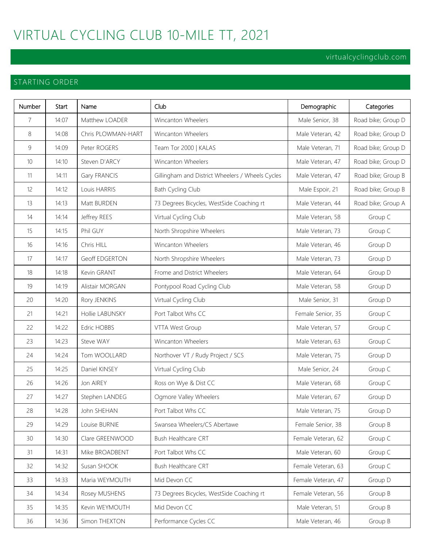#### virtualcyclingclub.com

#### STARTING ORDER

| Number | Start | Name                  | Club                                             | Demographic        | Categories         |
|--------|-------|-----------------------|--------------------------------------------------|--------------------|--------------------|
| 7      | 14:07 | Matthew LOADER        | Wincanton Wheelers                               | Male Senior, 38    | Road bike; Group D |
| 8      | 14:08 | Chris PLOWMAN-HART    | Wincanton Wheelers                               | Male Veteran, 42   | Road bike; Group D |
| 9      | 14:09 | Peter ROGERS          | Team Tor 2000   KALAS                            | Male Veteran, 71   | Road bike; Group D |
| 10     | 14:10 | Steven D'ARCY         | Wincanton Wheelers                               | Male Veteran, 47   | Road bike; Group D |
| 11     | 14:11 | Gary FRANCIS          | Gillingham and District Wheelers / Wheels Cycles | Male Veteran, 47   | Road bike; Group B |
| 12     | 14:12 | Louis HARRIS          | Bath Cycling Club                                | Male Espoir, 21    | Road bike; Group B |
| 13     | 14:13 | Matt BURDEN           | 73 Degrees Bicycles, WestSide Coaching rt        | Male Veteran, 44   | Road bike; Group A |
| 14     | 14:14 | Jeffrey REES          | Virtual Cycling Club                             | Male Veteran, 58   | Group C            |
| 15     | 14:15 | Phil GUY              | North Shropshire Wheelers                        | Male Veteran, 73   | Group C            |
| 16     | 14:16 | Chris HILL            | Wincanton Wheelers                               | Male Veteran, 46   | Group D            |
| 17     | 14:17 | <b>Geoff EDGERTON</b> | North Shropshire Wheelers                        | Male Veteran, 73   | Group D            |
| 18     | 14:18 | Kevin GRANT           | Frome and District Wheelers                      | Male Veteran, 64   | Group D            |
| 19     | 14:19 | Alistair MORGAN       | Pontypool Road Cycling Club                      | Male Veteran, 58   | Group D            |
| 20     | 14:20 | Rory JENKINS          | Virtual Cycling Club                             | Male Senior, 31    | Group D            |
| 21     | 14:21 | Hollie LABUNSKY       | Port Talbot Whs CC                               | Female Senior, 35  | Group C            |
| 22     | 14:22 | <b>Edric HOBBS</b>    | VTTA West Group                                  | Male Veteran, 57   | Group C            |
| 23     | 14:23 | Steve WAY             | Wincanton Wheelers                               | Male Veteran, 63   | Group C            |
| 24     | 14:24 | Tom WOOLLARD          | Northover VT / Rudy Project / SCS                | Male Veteran, 75   | Group D            |
| 25     | 14:25 | Daniel KINSEY         | Virtual Cycling Club                             | Male Senior, 24    | Group C            |
| 26     | 14:26 | Jon AIREY             | Ross on Wye & Dist CC                            | Male Veteran, 68   | Group C            |
| 27     | 14:27 | Stephen LANDEG        | Ogmore Valley Wheelers                           | Male Veteran, 67   | Group D            |
| 28     | 14:28 | John SHEHAN           | Port Talbot Whs CC                               | Male Veteran, 75   | Group D            |
| 29     | 14:29 | Louise BURNIE         | Swansea Wheelers/CS Abertawe                     | Female Senior, 38  | Group B            |
| 30     | 14:30 | Clare GREENWOOD       | Bush Healthcare CRT                              | Female Veteran, 62 | Group C            |
| 31     | 14:31 | Mike BROADBENT        | Port Talbot Whs CC                               | Male Veteran, 60   | Group C            |
| 32     | 14:32 | Susan SHOOK           | Bush Healthcare CRT                              | Female Veteran, 63 | Group C            |
| 33     | 14:33 | Maria WEYMOUTH        | Mid Devon CC                                     | Female Veteran, 47 | Group D            |
| 34     | 14:34 | Rosey MUSHENS         | 73 Degrees Bicycles, WestSide Coaching rt        | Female Veteran, 56 | Group B            |
| 35     | 14:35 | Kevin WEYMOUTH        | Mid Devon CC                                     | Male Veteran, 51   | Group B            |
| 36     | 14:36 | Simon THEXTON         | Performance Cycles CC                            | Male Veteran, 46   | Group B            |